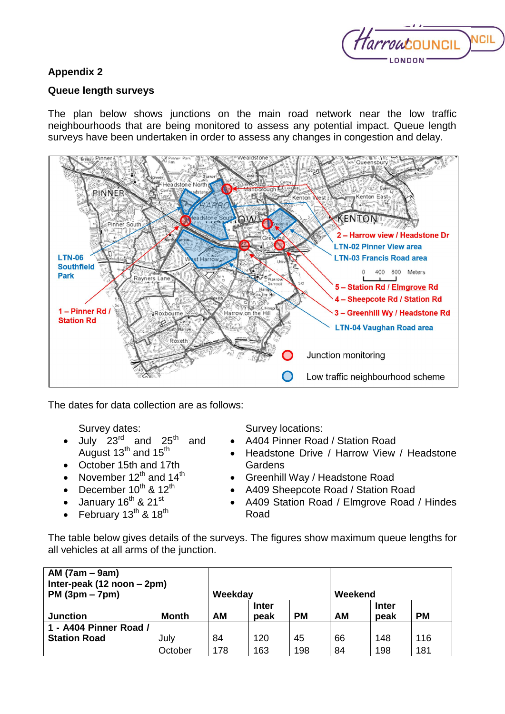

## **Appendix 2**

## **Queue length surveys**

The plan below shows junctions on the main road network near the low traffic neighbourhoods that are being monitored to assess any potential impact. Queue length surveys have been undertaken in order to assess any changes in congestion and delay.



The dates for data collection are as follows:

Survey dates:

- July  $23^{\text{rd}}$  and  $25^{\text{th}}$  and August  $13^{th}$  and  $15^{th}$
- October 15th and 17th
- November  $12^{th}$  and  $14^{th}$
- December  $10^{th}$  &  $12^{th}$
- $\bullet$  January 16<sup>th</sup> & 21<sup>st</sup>
- February  $13^{th}$  &  $18^{th}$

Survey locations:

- A404 Pinner Road / Station Road
- Headstone Drive / Harrow View / Headstone **Gardens**
- Greenhill Way / Headstone Road
- A409 Sheepcote Road / Station Road
- A409 Station Road / Elmgrove Road / Hindes Road

The table below gives details of the surveys. The figures show maximum queue lengths for all vehicles at all arms of the junction.

| $AM(7am - 9am)$<br>Inter-peak (12 noon – 2pm)<br>$PM (3pm - 7pm)$ |              | Weekday   |              |           | Weekend   |              |           |
|-------------------------------------------------------------------|--------------|-----------|--------------|-----------|-----------|--------------|-----------|
|                                                                   |              |           | <b>Inter</b> |           |           | <b>Inter</b> |           |
| <b>Junction</b>                                                   | <b>Month</b> | <b>AM</b> | peak         | <b>PM</b> | <b>AM</b> | peak         | <b>PM</b> |
| 1 - A404 Pinner Road /                                            |              |           |              |           |           |              |           |
| <b>Station Road</b>                                               | July         | 84        | 120          | 45        | 66        | 148          | 116       |
|                                                                   | October      | 178       | 163          | 198       | 84        | 198          | 181       |